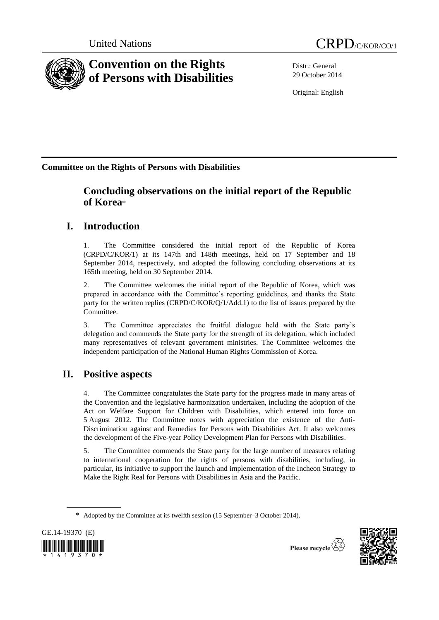

Distr.: General 29 October 2014

Original: English

**Committee on the Rights of Persons with Disabilities**

## **Concluding observations on the initial report of the Republic of Korea**\*

# **I. Introduction**

1. The Committee considered the initial report of the Republic of Korea (CRPD/C/KOR/1) at its 147th and 148th meetings, held on 17 September and 18 September 2014, respectively, and adopted the following concluding observations at its 165th meeting, held on 30 September 2014.

2. The Committee welcomes the initial report of the Republic of Korea, which was prepared in accordance with the Committee's reporting guidelines, and thanks the State party for the written replies (CRPD/C/KOR/Q/1/Add.1) to the list of issues prepared by the Committee.

3. The Committee appreciates the fruitful dialogue held with the State party's delegation and commends the State party for the strength of its delegation, which included many representatives of relevant government ministries. The Committee welcomes the independent participation of the National Human Rights Commission of Korea.

# **II. Positive aspects**

4. The Committee congratulates the State party for the progress made in many areas of the Convention and the legislative harmonization undertaken, including the adoption of the Act on Welfare Support for Children with Disabilities, which entered into force on 5 August 2012. The Committee notes with appreciation the existence of the Anti-Discrimination against and Remedies for Persons with Disabilities Act. It also welcomes the development of the Five-year Policy Development Plan for Persons with Disabilities.

5. The Committee commends the State party for the large number of measures relating to international cooperation for the rights of persons with disabilities, including, in particular, its initiative to support the launch and implementation of the Incheon Strategy to Make the Right Real for Persons with Disabilities in Asia and the Pacific.

<sup>\*</sup> Adopted by the Committee at its twelfth session (15 September–3 October 2014).





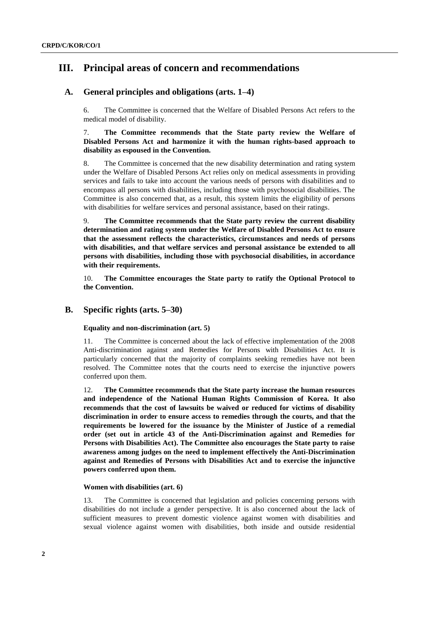## **III. Principal areas of concern and recommendations**

## **A. General principles and obligations (arts. 1–4)**

6. The Committee is concerned that the Welfare of Disabled Persons Act refers to the medical model of disability.

7. **The Committee recommends that the State party review the Welfare of Disabled Persons Act and harmonize it with the human rights-based approach to disability as espoused in the Convention.**

8. The Committee is concerned that the new disability determination and rating system under the Welfare of Disabled Persons Act relies only on medical assessments in providing services and fails to take into account the various needs of persons with disabilities and to encompass all persons with disabilities, including those with psychosocial disabilities. The Committee is also concerned that, as a result, this system limits the eligibility of persons with disabilities for welfare services and personal assistance, based on their ratings.

9. **The Committee recommends that the State party review the current disability determination and rating system under the Welfare of Disabled Persons Act to ensure that the assessment reflects the characteristics, circumstances and needs of persons with disabilities, and that welfare services and personal assistance be extended to all persons with disabilities, including those with psychosocial disabilities, in accordance with their requirements.** 

10. **The Committee encourages the State party to ratify the Optional Protocol to the Convention.**

## **B. Specific rights (arts. 5–30)**

## **Equality and non-discrimination (art. 5)**

11. The Committee is concerned about the lack of effective implementation of the 2008 Anti-discrimination against and Remedies for Persons with Disabilities Act. It is particularly concerned that the majority of complaints seeking remedies have not been resolved. The Committee notes that the courts need to exercise the injunctive powers conferred upon them.

12. **The Committee recommends that the State party increase the human resources and independence of the National Human Rights Commission of Korea. It also recommends that the cost of lawsuits be waived or reduced for victims of disability discrimination in order to ensure access to remedies through the courts, and that the requirements be lowered for the issuance by the Minister of Justice of a remedial order (set out in article 43 of the Anti-Discrimination against and Remedies for Persons with Disabilities Act). The Committee also encourages the State party to raise awareness among judges on the need to implement effectively the Anti-Discrimination against and Remedies of Persons with Disabilities Act and to exercise the injunctive powers conferred upon them.**

## **Women with disabilities (art. 6)**

13. The Committee is concerned that legislation and policies concerning persons with disabilities do not include a gender perspective. It is also concerned about the lack of sufficient measures to prevent domestic violence against women with disabilities and sexual violence against women with disabilities, both inside and outside residential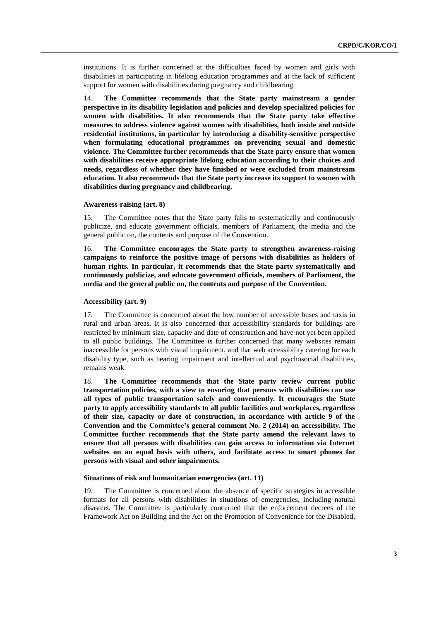institutions. It is further concerned at the difficulties faced by women and girls with disabilities in participating in lifelong education programmes and at the lack of sufficient support for women with disabilities during pregnancy and childbearing.

14. **The Committee recommends that the State party mainstream a gender perspective in its disability legislation and policies and develop specialized policies for women with disabilities. It also recommends that the State party take effective measures to address violence against women with disabilities, both inside and outside residential institutions, in particular by introducing a disability-sensitive perspective when formulating educational programmes on preventing sexual and domestic violence. The Committee further recommends that the State party ensure that women with disabilities receive appropriate lifelong education according to their choices and needs, regardless of whether they have finished or were excluded from mainstream education. It also recommends that the State party increase its support to women with disabilities during pregnancy and childbearing.**

#### **Awareness-raising (art. 8)**

15. The Committee notes that the State party fails to systematically and continuously publicize, and educate government officials, members of Parliament, the media and the general public on, the contents and purpose of the Convention.

16. **The Committee encourages the State party to strengthen awareness-raising campaigns to reinforce the positive image of persons with disabilities as holders of human rights. In particular, it recommends that the State party systematically and continuously publicize, and educate government officials, members of Parliament, the media and the general public on, the contents and purpose of the Convention.**

### **Accessibility (art. 9)**

17. The Committee is concerned about the low number of accessible buses and taxis in rural and urban areas. It is also concerned that accessibility standards for buildings are restricted by minimum size, capacity and date of construction and have not yet been applied to all public buildings. The Committee is further concerned that many websites remain inaccessible for persons with visual impairment, and that web accessibility catering for each disability type, such as hearing impairment and intellectual and psychosocial disabilities, remains weak.

18. **The Committee recommends that the State party review current public transportation policies, with a view to ensuring that persons with disabilities can use all types of public transportation safely and conveniently. It encourages the State party to apply accessibility standards to all public facilities and workplaces, regardless of their size, capacity or date of construction, in accordance with article 9 of the Convention and the Committee's general comment No. 2 (2014) on accessibility. The Committee further recommends that the State party amend the relevant laws to ensure that all persons with disabilities can gain access to information via Internet websites on an equal basis with others, and facilitate access to smart phones for persons with visual and other impairments.**

#### **Situations of risk and humanitarian emergencies (art. 11)**

19. The Committee is concerned about the absence of specific strategies in accessible formats for all persons with disabilities in situations of emergencies, including natural disasters. The Committee is particularly concerned that the enforcement decrees of the Framework Act on Building and the Act on the Promotion of Convenience for the Disabled,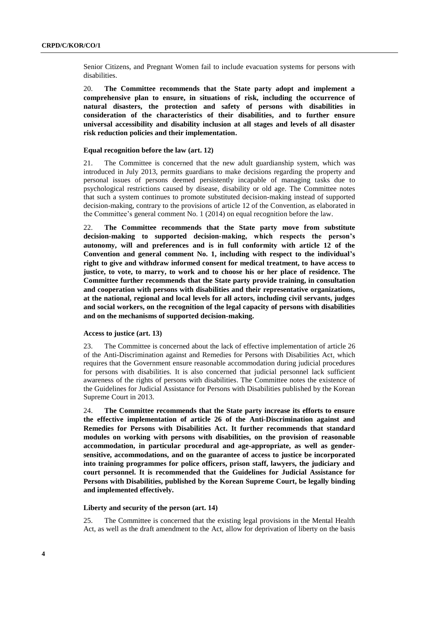Senior Citizens, and Pregnant Women fail to include evacuation systems for persons with disabilities.

20. **The Committee recommends that the State party adopt and implement a comprehensive plan to ensure, in situations of risk, including the occurrence of natural disasters, the protection and safety of persons with disabilities in consideration of the characteristics of their disabilities, and to further ensure universal accessibility and disability inclusion at all stages and levels of all disaster risk reduction policies and their implementation.**

### **Equal recognition before the law (art. 12)**

21. The Committee is concerned that the new adult guardianship system, which was introduced in July 2013, permits guardians to make decisions regarding the property and personal issues of persons deemed persistently incapable of managing tasks due to psychological restrictions caused by disease, disability or old age. The Committee notes that such a system continues to promote substituted decision-making instead of supported decision-making, contrary to the provisions of article 12 of the Convention, as elaborated in the Committee's general comment No. 1 (2014) on equal recognition before the law.

22. **The Committee recommends that the State party move from substitute decision-making to supported decision-making, which respects the person's autonomy, will and preferences and is in full conformity with article 12 of the Convention and general comment No. 1, including with respect to the individual's right to give and withdraw informed consent for medical treatment, to have access to justice, to vote, to marry, to work and to choose his or her place of residence. The Committee further recommends that the State party provide training, in consultation and cooperation with persons with disabilities and their representative organizations, at the national, regional and local levels for all actors, including civil servants, judges and social workers, on the recognition of the legal capacity of persons with disabilities and on the mechanisms of supported decision-making.**

## **Access to justice (art. 13)**

23. The Committee is concerned about the lack of effective implementation of article 26 of the Anti-Discrimination against and Remedies for Persons with Disabilities Act, which requires that the Government ensure reasonable accommodation during judicial procedures for persons with disabilities. It is also concerned that judicial personnel lack sufficient awareness of the rights of persons with disabilities. The Committee notes the existence of the Guidelines for Judicial Assistance for Persons with Disabilities published by the Korean Supreme Court in 2013.

24. **The Committee recommends that the State party increase its efforts to ensure the effective implementation of article 26 of the Anti-Discrimination against and Remedies for Persons with Disabilities Act. It further recommends that standard modules on working with persons with disabilities, on the provision of reasonable accommodation, in particular procedural and age-appropriate, as well as gendersensitive, accommodations, and on the guarantee of access to justice be incorporated into training programmes for police officers, prison staff, lawyers, the judiciary and court personnel. It is recommended that the Guidelines for Judicial Assistance for Persons with Disabilities, published by the Korean Supreme Court, be legally binding and implemented effectively.**

### **Liberty and security of the person (art. 14)**

25. The Committee is concerned that the existing legal provisions in the Mental Health Act, as well as the draft amendment to the Act, allow for deprivation of liberty on the basis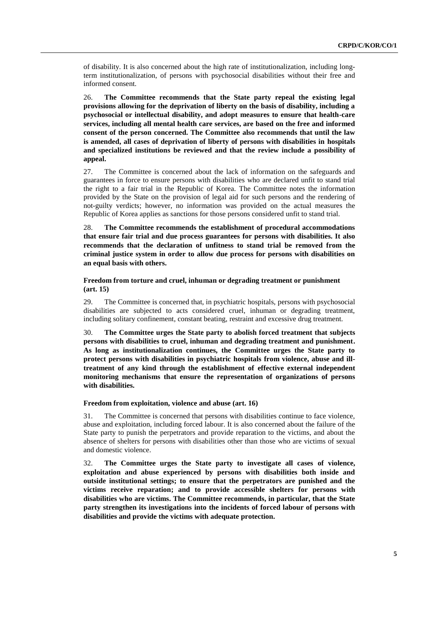of disability. It is also concerned about the high rate of institutionalization, including longterm institutionalization, of persons with psychosocial disabilities without their free and informed consent.

26. **The Committee recommends that the State party repeal the existing legal provisions allowing for the deprivation of liberty on the basis of disability, including a psychosocial or intellectual disability, and adopt measures to ensure that health-care services, including all mental health care services, are based on the free and informed consent of the person concerned. The Committee also recommends that until the law is amended, all cases of deprivation of liberty of persons with disabilities in hospitals and specialized institutions be reviewed and that the review include a possibility of appeal.**

27. The Committee is concerned about the lack of information on the safeguards and guarantees in force to ensure persons with disabilities who are declared unfit to stand trial the right to a fair trial in the Republic of Korea. The Committee notes the information provided by the State on the provision of legal aid for such persons and the rendering of not-guilty verdicts; however, no information was provided on the actual measures the Republic of Korea applies as sanctions for those persons considered unfit to stand trial.

28. **The Committee recommends the establishment of procedural accommodations that ensure fair trial and due process guarantees for persons with disabilities. It also recommends that the declaration of unfitness to stand trial be removed from the criminal justice system in order to allow due process for persons with disabilities on an equal basis with others.**

## **Freedom from torture and cruel, inhuman or degrading treatment or punishment (art. 15)**

29. The Committee is concerned that, in psychiatric hospitals, persons with psychosocial disabilities are subjected to acts considered cruel, inhuman or degrading treatment, including solitary confinement, constant beating, restraint and excessive drug treatment.

30. **The Committee urges the State party to abolish forced treatment that subjects persons with disabilities to cruel, inhuman and degrading treatment and punishment. As long as institutionalization continues, the Committee urges the State party to protect persons with disabilities in psychiatric hospitals from violence, abuse and illtreatment of any kind through the establishment of effective external independent monitoring mechanisms that ensure the representation of organizations of persons with disabilities.**

## **Freedom from exploitation, violence and abuse (art. 16)**

31. The Committee is concerned that persons with disabilities continue to face violence, abuse and exploitation, including forced labour. It is also concerned about the failure of the State party to punish the perpetrators and provide reparation to the victims, and about the absence of shelters for persons with disabilities other than those who are victims of sexual and domestic violence.

32. **The Committee urges the State party to investigate all cases of violence, exploitation and abuse experienced by persons with disabilities both inside and outside institutional settings; to ensure that the perpetrators are punished and the victims receive reparation; and to provide accessible shelters for persons with disabilities who are victims. The Committee recommends, in particular, that the State party strengthen its investigations into the incidents of forced labour of persons with disabilities and provide the victims with adequate protection.**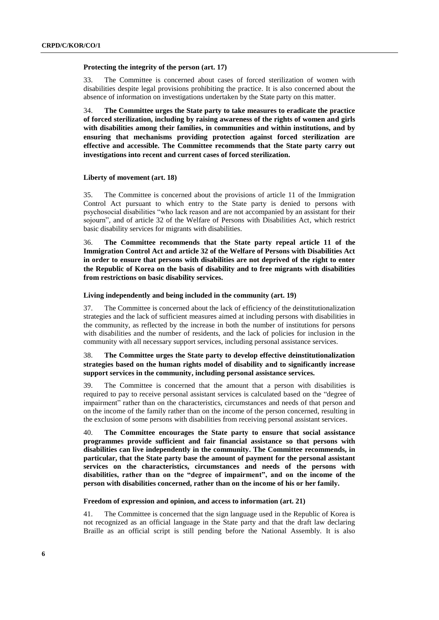#### **Protecting the integrity of the person (art. 17)**

33. The Committee is concerned about cases of forced sterilization of women with disabilities despite legal provisions prohibiting the practice. It is also concerned about the absence of information on investigations undertaken by the State party on this matter.

34. **The Committee urges the State party to take measures to eradicate the practice of forced sterilization, including by raising awareness of the rights of women and girls with disabilities among their families, in communities and within institutions, and by ensuring that mechanisms providing protection against forced sterilization are effective and accessible. The Committee recommends that the State party carry out investigations into recent and current cases of forced sterilization.**

#### **Liberty of movement (art. 18)**

35. The Committee is concerned about the provisions of article 11 of the Immigration Control Act pursuant to which entry to the State party is denied to persons with psychosocial disabilities "who lack reason and are not accompanied by an assistant for their sojourn", and of article 32 of the Welfare of Persons with Disabilities Act, which restrict basic disability services for migrants with disabilities.

36. **The Committee recommends that the State party repeal article 11 of the Immigration Control Act and article 32 of the Welfare of Persons with Disabilities Act in order to ensure that persons with disabilities are not deprived of the right to enter the Republic of Korea on the basis of disability and to free migrants with disabilities from restrictions on basic disability services.**

#### **Living independently and being included in the community (art. 19)**

37. The Committee is concerned about the lack of efficiency of the deinstitutionalization strategies and the lack of sufficient measures aimed at including persons with disabilities in the community, as reflected by the increase in both the number of institutions for persons with disabilities and the number of residents, and the lack of policies for inclusion in the community with all necessary support services, including personal assistance services.

## 38. **The Committee urges the State party to develop effective deinstitutionalization strategies based on the human rights model of disability and to significantly increase support services in the community, including personal assistance services.**

39. The Committee is concerned that the amount that a person with disabilities is required to pay to receive personal assistant services is calculated based on the "degree of impairment" rather than on the characteristics, circumstances and needs of that person and on the income of the family rather than on the income of the person concerned, resulting in the exclusion of some persons with disabilities from receiving personal assistant services.

40. **The Committee encourages the State party to ensure that social assistance programmes provide sufficient and fair financial assistance so that persons with disabilities can live independently in the community. The Committee recommends, in particular, that the State party base the amount of payment for the personal assistant services on the characteristics, circumstances and needs of the persons with disabilities, rather than on the "degree of impairment", and on the income of the person with disabilities concerned, rather than on the income of his or her family.**

## **Freedom of expression and opinion, and access to information (art. 21)**

41. The Committee is concerned that the sign language used in the Republic of Korea is not recognized as an official language in the State party and that the draft law declaring Braille as an official script is still pending before the National Assembly. It is also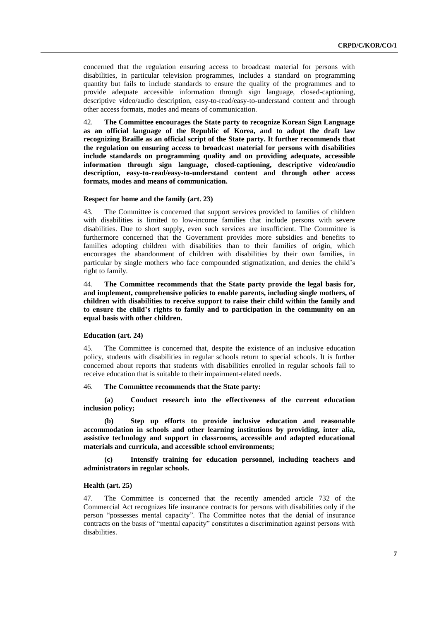concerned that the regulation ensuring access to broadcast material for persons with disabilities, in particular television programmes, includes a standard on programming quantity but fails to include standards to ensure the quality of the programmes and to provide adequate accessible information through sign language, closed-captioning, descriptive video/audio description, easy-to-read/easy-to-understand content and through other access formats, modes and means of communication.

42. **The Committee encourages the State party to recognize Korean Sign Language as an official language of the Republic of Korea, and to adopt the draft law recognizing Braille as an official script of the State party. It further recommends that the regulation on ensuring access to broadcast material for persons with disabilities include standards on programming quality and on providing adequate, accessible information through sign language, closed-captioning, descriptive video/audio description, easy-to-read/easy-to-understand content and through other access formats, modes and means of communication.**

## **Respect for home and the family (art. 23)**

43. The Committee is concerned that support services provided to families of children with disabilities is limited to low-income families that include persons with severe disabilities. Due to short supply, even such services are insufficient. The Committee is furthermore concerned that the Government provides more subsidies and benefits to families adopting children with disabilities than to their families of origin, which encourages the abandonment of children with disabilities by their own families, in particular by single mothers who face compounded stigmatization, and denies the child's right to family.

44. **The Committee recommends that the State party provide the legal basis for, and implement, comprehensive policies to enable parents, including single mothers, of children with disabilities to receive support to raise their child within the family and to ensure the child's rights to family and to participation in the community on an equal basis with other children.** 

## **Education (art. 24)**

45. The Committee is concerned that, despite the existence of an inclusive education policy, students with disabilities in regular schools return to special schools. It is further concerned about reports that students with disabilities enrolled in regular schools fail to receive education that is suitable to their impairment-related needs.

## 46. **The Committee recommends that the State party:**

**(a) Conduct research into the effectiveness of the current education inclusion policy;**

**(b) Step up efforts to provide inclusive education and reasonable accommodation in schools and other learning institutions by providing, inter alia, assistive technology and support in classrooms, accessible and adapted educational materials and curricula, and accessible school environments;**

**(c) Intensify training for education personnel, including teachers and administrators in regular schools.**

#### **Health (art. 25)**

47. The Committee is concerned that the recently amended article 732 of the Commercial Act recognizes life insurance contracts for persons with disabilities only if the person "possesses mental capacity". The Committee notes that the denial of insurance contracts on the basis of "mental capacity" constitutes a discrimination against persons with disabilities.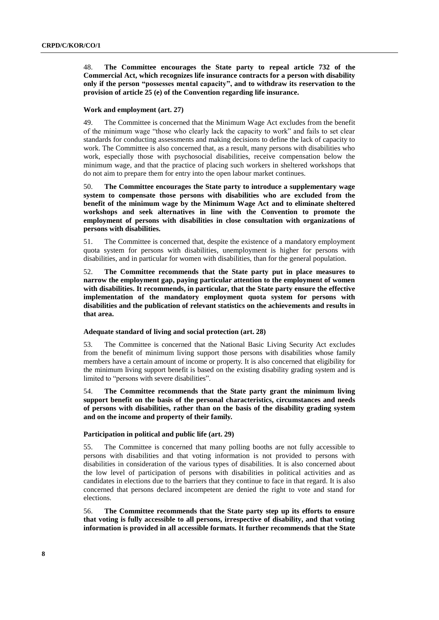48. **The Committee encourages the State party to repeal article 732 of the Commercial Act, which recognizes life insurance contracts for a person with disability only if the person "possesses mental capacity", and to withdraw its reservation to the provision of article 25 (e) of the Convention regarding life insurance.**

#### **Work and employment (art. 27)**

49. The Committee is concerned that the Minimum Wage Act excludes from the benefit of the minimum wage "those who clearly lack the capacity to work" and fails to set clear standards for conducting assessments and making decisions to define the lack of capacity to work. The Committee is also concerned that, as a result, many persons with disabilities who work, especially those with psychosocial disabilities, receive compensation below the minimum wage, and that the practice of placing such workers in sheltered workshops that do not aim to prepare them for entry into the open labour market continues.

50. **The Committee encourages the State party to introduce a supplementary wage system to compensate those persons with disabilities who are excluded from the benefit of the minimum wage by the Minimum Wage Act and to eliminate sheltered workshops and seek alternatives in line with the Convention to promote the employment of persons with disabilities in close consultation with organizations of persons with disabilities.**

51. The Committee is concerned that, despite the existence of a mandatory employment quota system for persons with disabilities, unemployment is higher for persons with disabilities, and in particular for women with disabilities, than for the general population.

52. **The Committee recommends that the State party put in place measures to narrow the employment gap, paying particular attention to the employment of women with disabilities. It recommends, in particular, that the State party ensure the effective implementation of the mandatory employment quota system for persons with disabilities and the publication of relevant statistics on the achievements and results in that area.**

#### **Adequate standard of living and social protection (art. 28)**

53. The Committee is concerned that the National Basic Living Security Act excludes from the benefit of minimum living support those persons with disabilities whose family members have a certain amount of income or property. It is also concerned that eligibility for the minimum living support benefit is based on the existing disability grading system and is limited to "persons with severe disabilities".

54. **The Committee recommends that the State party grant the minimum living support benefit on the basis of the personal characteristics, circumstances and needs of persons with disabilities, rather than on the basis of the disability grading system and on the income and property of their family.**

## **Participation in political and public life (art. 29)**

55. The Committee is concerned that many polling booths are not fully accessible to persons with disabilities and that voting information is not provided to persons with disabilities in consideration of the various types of disabilities. It is also concerned about the low level of participation of persons with disabilities in political activities and as candidates in elections due to the barriers that they continue to face in that regard. It is also concerned that persons declared incompetent are denied the right to vote and stand for elections.

56. **The Committee recommends that the State party step up its efforts to ensure that voting is fully accessible to all persons, irrespective of disability, and that voting information is provided in all accessible formats. It further recommends that the State**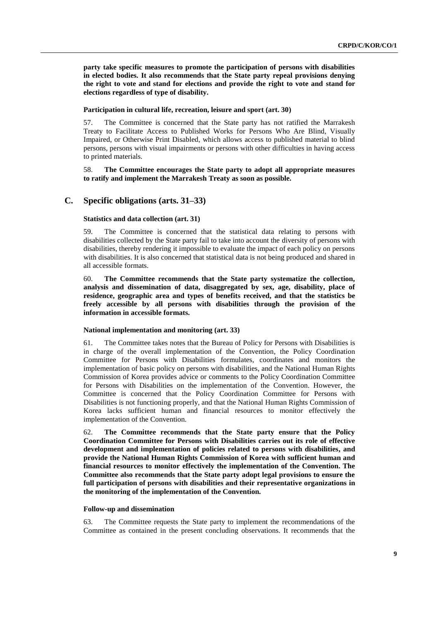**party take specific measures to promote the participation of persons with disabilities in elected bodies. It also recommends that the State party repeal provisions denying the right to vote and stand for elections and provide the right to vote and stand for elections regardless of type of disability.**

## **Participation in cultural life, recreation, leisure and sport (art. 30)**

57. The Committee is concerned that the State party has not ratified the Marrakesh Treaty to Facilitate Access to Published Works for Persons Who Are Blind, Visually Impaired, or Otherwise Print Disabled, which allows access to published material to blind persons, persons with visual impairments or persons with other difficulties in having access to printed materials.

## 58. **The Committee encourages the State party to adopt all appropriate measures to ratify and implement the Marrakesh Treaty as soon as possible.**

## **C. Specific obligations (arts. 31–33)**

### **Statistics and data collection (art. 31)**

59. The Committee is concerned that the statistical data relating to persons with disabilities collected by the State party fail to take into account the diversity of persons with disabilities, thereby rendering it impossible to evaluate the impact of each policy on persons with disabilities. It is also concerned that statistical data is not being produced and shared in all accessible formats.

60. **The Committee recommends that the State party systematize the collection, analysis and dissemination of data, disaggregated by sex, age, disability, place of residence, geographic area and types of benefits received, and that the statistics be freely accessible by all persons with disabilities through the provision of the information in accessible formats.**

### **National implementation and monitoring (art. 33)**

61. The Committee takes notes that the Bureau of Policy for Persons with Disabilities is in charge of the overall implementation of the Convention, the Policy Coordination Committee for Persons with Disabilities formulates, coordinates and monitors the implementation of basic policy on persons with disabilities, and the National Human Rights Commission of Korea provides advice or comments to the Policy Coordination Committee for Persons with Disabilities on the implementation of the Convention. However, the Committee is concerned that the Policy Coordination Committee for Persons with Disabilities is not functioning properly, and that the National Human Rights Commission of Korea lacks sufficient human and financial resources to monitor effectively the implementation of the Convention.

62. **The Committee recommends that the State party ensure that the Policy Coordination Committee for Persons with Disabilities carries out its role of effective development and implementation of policies related to persons with disabilities, and provide the National Human Rights Commission of Korea with sufficient human and financial resources to monitor effectively the implementation of the Convention. The Committee also recommends that the State party adopt legal provisions to ensure the full participation of persons with disabilities and their representative organizations in the monitoring of the implementation of the Convention.**

#### **Follow-up and dissemination**

63. The Committee requests the State party to implement the recommendations of the Committee as contained in the present concluding observations. It recommends that the